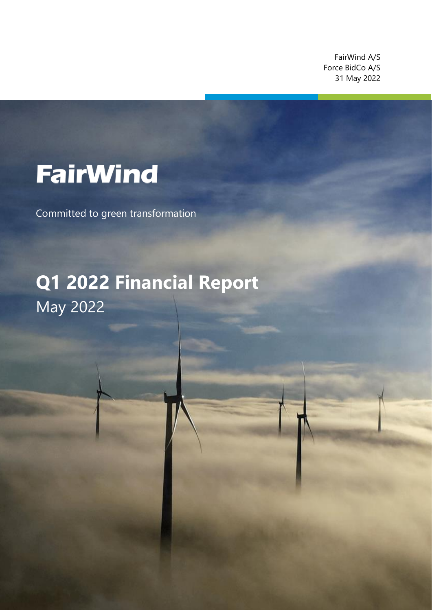FairWind A/S Force BidCo A/S 31 May 2022

z

# **FairWind**

Committed to green transformation

## **Q1 2022 Financial Report** May 2022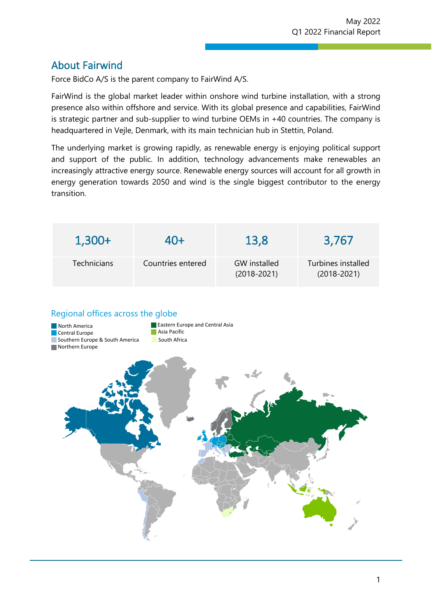## About Fairwind

Force BidCo A/S is the parent company to FairWind A/S.

FairWind is the global market leader within onshore wind turbine installation, with a strong presence also within offshore and service. With its global presence and capabilities, FairWind is strategic partner and sub-supplier to wind turbine OEMs in +40 countries. The company is headquartered in Vejle, Denmark, with its main technician hub in Stettin, Poland.

z

The underlying market is growing rapidly, as renewable energy is enjoying political support and support of the public. In addition, technology advancements make renewables an increasingly attractive energy source. Renewable energy sources will account for all growth in energy generation towards 2050 and wind is the single biggest contributor to the energy transition.

| $1,300+$    | $40+$             | 13,8                                   | 3,767                                 |
|-------------|-------------------|----------------------------------------|---------------------------------------|
| Technicians | Countries entered | <b>GW</b> installed<br>$(2018 - 2021)$ | Turbines installed<br>$(2018 - 2021)$ |
|             |                   |                                        |                                       |

#### Regional offices across the globe

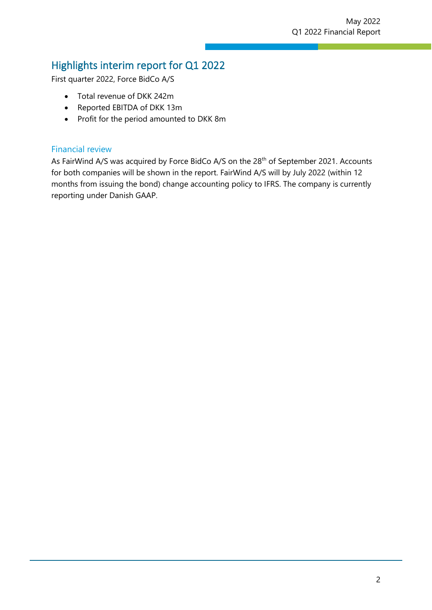## Highlights interim report for Q1 2022

First quarter 2022, Force BidCo A/S

- Total revenue of DKK 242m
- Reported EBITDA of DKK 13m
- Profit for the period amounted to DKK 8m

#### Financial review

As FairWind A/S was acquired by Force BidCo A/S on the 28<sup>th</sup> of September 2021. Accounts for both companies will be shown in the report. FairWind A/S will by July 2022 (within 12 months from issuing the bond) change accounting policy to IFRS. The company is currently reporting under Danish GAAP.

z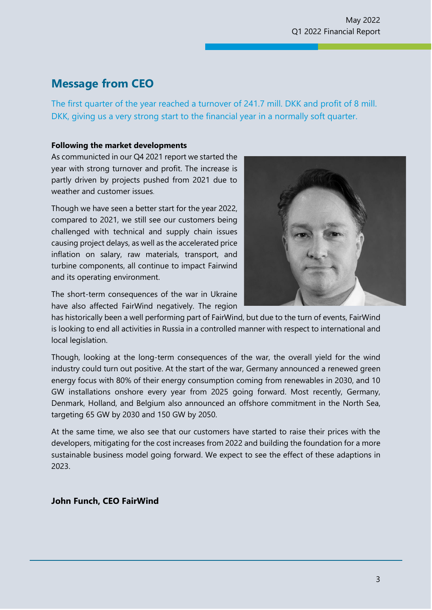## **Message from CEO**

The first quarter of the year reached a turnover of 241.7 mill. DKK and profit of 8 mill. DKK, giving us a very strong start to the financial year in a normally soft quarter.

z

#### **Following the market developments**

As communicted in our Q4 2021 report we started the year with strong turnover and profit. The increase is partly driven by projects pushed from 2021 due to weather and customer issues.

Though we have seen a better start for the year 2022, compared to 2021, we still see our customers being challenged with technical and supply chain issues causing project delays, as well as the accelerated price inflation on salary, raw materials, transport, and turbine components, all continue to impact Fairwind and its operating environment.



The short-term consequences of the war in Ukraine have also affected FairWind negatively. The region

has historically been a well performing part of FairWind, but due to the turn of events, FairWind is looking to end all activities in Russia in a controlled manner with respect to international and local legislation.

Though, looking at the long-term consequences of the war, the overall yield for the wind industry could turn out positive. At the start of the war, Germany announced a renewed green energy focus with 80% of their energy consumption coming from renewables in 2030, and 10 GW installations onshore every year from 2025 going forward. Most recently, Germany, Denmark, Holland, and Belgium also announced an offshore commitment in the North Sea, targeting 65 GW by 2030 and 150 GW by 2050.

At the same time, we also see that our customers have started to raise their prices with the developers, mitigating for the cost increases from 2022 and building the foundation for a more sustainable business model going forward. We expect to see the effect of these adaptions in 2023.

#### **John Funch, CEO FairWind**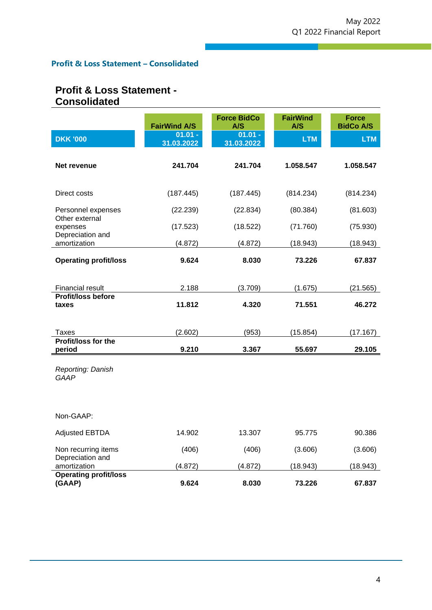z

#### **Profit & Loss Statement – Consolidated**

### **Profit & Loss Statement - Consolidated**

|                                         | <b>FairWind A/S</b>     | <b>Force BidCo</b><br>A/S | <b>FairWind</b><br>A/S | <b>Force</b><br><b>BidCo A/S</b> |
|-----------------------------------------|-------------------------|---------------------------|------------------------|----------------------------------|
| <b>DKK '000</b>                         | $01.01 -$<br>31.03.2022 | $01.01 -$<br>31.03.2022   | <b>LTM</b>             | <b>LTM</b>                       |
| Net revenue                             | 241.704                 | 241.704                   | 1.058.547              | 1.058.547                        |
| Direct costs                            | (187.445)               | (187.445)                 | (814.234)              | (814.234)                        |
| Personnel expenses<br>Other external    | (22.239)                | (22.834)                  | (80.384)               | (81.603)                         |
| expenses<br>Depreciation and            | (17.523)                | (18.522)                  | (71.760)               | (75.930)                         |
| amortization                            | (4.872)                 | (4.872)                   | (18.943)               | (18.943)                         |
| <b>Operating profit/loss</b>            | 9.624                   | 8.030                     | 73.226                 | 67.837                           |
| Financial result                        | 2.188                   | (3.709)                   | (1.675)                | (21.565)                         |
| Profit/loss before<br>taxes             | 11.812                  | 4.320                     | 71.551                 | 46.272                           |
| Taxes                                   | (2.602)                 | (953)                     | (15.854)               | (17.167)                         |
| Profit/loss for the<br>period           | 9.210                   | 3.367                     | 55.697                 | 29.105                           |
| Reporting: Danish<br><b>GAAP</b>        |                         |                           |                        |                                  |
| Non-GAAP:                               |                         |                           |                        |                                  |
| <b>Adjusted EBTDA</b>                   | 14.902                  | 13.307                    | 95.775                 | 90.386                           |
| Non recurring items<br>Depreciation and | (406)                   | (406)                     | (3.606)                | (3.606)                          |
| amortization                            | (4.872)                 | (4.872)                   | (18.943)               | (18.943)                         |
| <b>Operating profit/loss</b><br>(GAAP)  | 9.624                   | 8.030                     | 73.226                 | 67.837                           |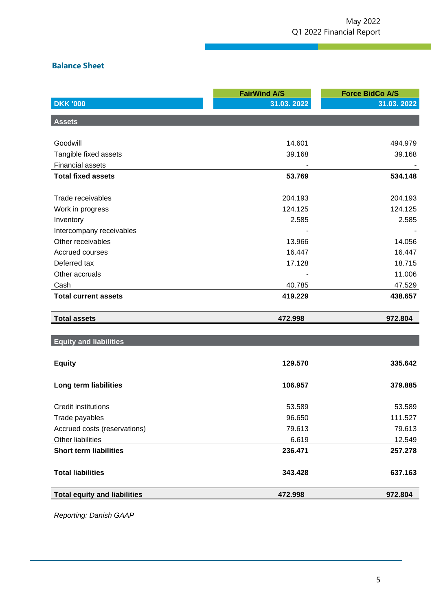#### **Balance Sheet**

|                                     | <b>FairWind A/S</b> | <b>Force BidCo A/S</b> |
|-------------------------------------|---------------------|------------------------|
| <b>DKK '000</b>                     | 31.03.2022          | 31.03.2022             |
| <b>Assets</b>                       |                     |                        |
|                                     |                     |                        |
| Goodwill                            | 14.601              | 494.979                |
| Tangible fixed assets               | 39.168              | 39.168                 |
| <b>Financial assets</b>             |                     |                        |
| <b>Total fixed assets</b>           | 53.769              | 534.148                |
|                                     |                     |                        |
| Trade receivables                   | 204.193             | 204.193                |
| Work in progress                    | 124.125             | 124.125                |
| Inventory                           | 2.585               | 2.585                  |
| Intercompany receivables            |                     |                        |
| Other receivables                   | 13.966              | 14.056                 |
| Accrued courses                     | 16.447              | 16.447                 |
| Deferred tax                        | 17.128              | 18.715                 |
| Other accruals                      |                     | 11.006                 |
| Cash                                | 40.785              | 47.529                 |
| <b>Total current assets</b>         | 419.229             | 438.657                |
| <b>Total assets</b>                 | 472.998             | 972.804                |
|                                     |                     |                        |
| <b>Equity and liabilities</b>       |                     |                        |
| <b>Equity</b>                       | 129.570             | 335.642                |
|                                     |                     |                        |
| Long term liabilities               | 106.957             | 379.885                |
| <b>Credit institutions</b>          | 53.589              | 53.589                 |
| Trade payables                      | 96.650              | 111.527                |
| Accrued costs (reservations)        | 79.613              | 79.613                 |
| Other liabilities                   | 6.619               | 12.549                 |
| <b>Short term liabilities</b>       | 236.471             | 257.278                |
| <b>Total liabilities</b>            | 343.428             | 637.163                |
|                                     |                     |                        |
| <b>Total equity and liabilities</b> | 472.998             | 972.804                |

z

*Reporting: Danish GAAP*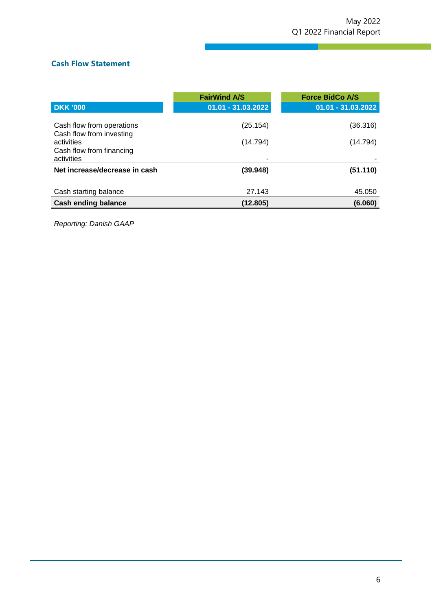#### **Cash Flow Statement**

|                                                                                                               | <b>FairWind A/S</b>  | <b>Force BidCo A/S</b> |
|---------------------------------------------------------------------------------------------------------------|----------------------|------------------------|
| <b>DKK '000</b>                                                                                               | 01.01 - 31.03.2022   | 01.01 - 31.03.2022     |
| Cash flow from operations<br>Cash flow from investing<br>activities<br>Cash flow from financing<br>activities | (25.154)<br>(14.794) | (36.316)<br>(14.794)   |
| Net increase/decrease in cash                                                                                 | (39.948)             | (51.110)               |
| Cash starting balance                                                                                         | 27.143               | 45.050                 |
| <b>Cash ending balance</b>                                                                                    | (12.805)             | (6.060)                |

z

*Reporting: Danish GAAP*